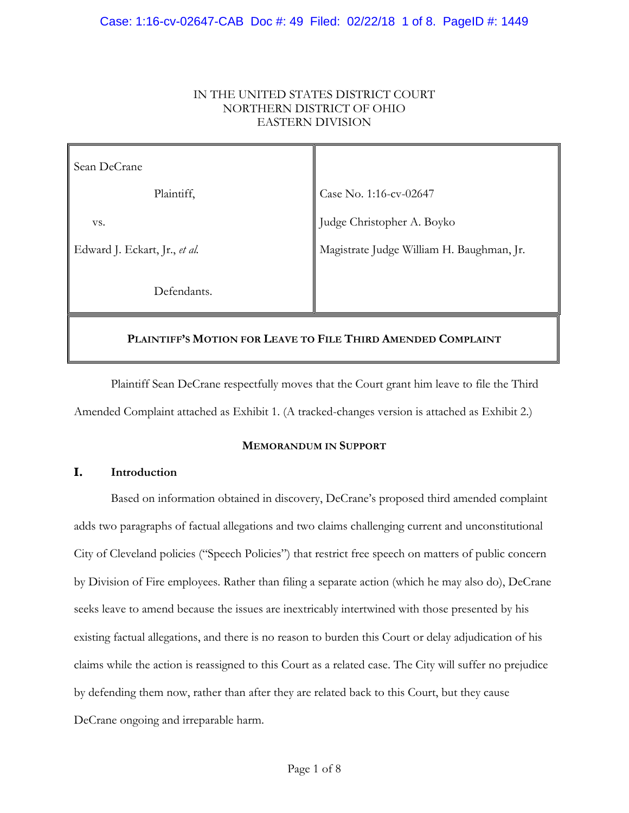### IN THE UNITED STATES DISTRICT COURT NORTHERN DISTRICT OF OHIO EASTERN DIVISION

| Sean DeCrane                                                 |                                           |
|--------------------------------------------------------------|-------------------------------------------|
| Plaintiff,                                                   | Case No. 1:16-cv-02647                    |
| VS.                                                          | Judge Christopher A. Boyko                |
| Edward J. Eckart, Jr., et al.                                | Magistrate Judge William H. Baughman, Jr. |
| Defendants.                                                  |                                           |
| PLAINTIFF'S MOTION FOR LEAVE TO FILE THIRD AMENDED COMPLAINT |                                           |

Plaintiff Sean DeCrane respectfully moves that the Court grant him leave to file the Third Amended Complaint attached as Exhibit 1. (A tracked-changes version is attached as Exhibit 2.)

### **MEMORANDUM IN SUPPORT**

# **I. Introduction**

Based on information obtained in discovery, DeCrane's proposed third amended complaint adds two paragraphs of factual allegations and two claims challenging current and unconstitutional City of Cleveland policies ("Speech Policies") that restrict free speech on matters of public concern by Division of Fire employees. Rather than filing a separate action (which he may also do), DeCrane seeks leave to amend because the issues are inextricably intertwined with those presented by his existing factual allegations, and there is no reason to burden this Court or delay adjudication of his claims while the action is reassigned to this Court as a related case. The City will suffer no prejudice by defending them now, rather than after they are related back to this Court, but they cause DeCrane ongoing and irreparable harm.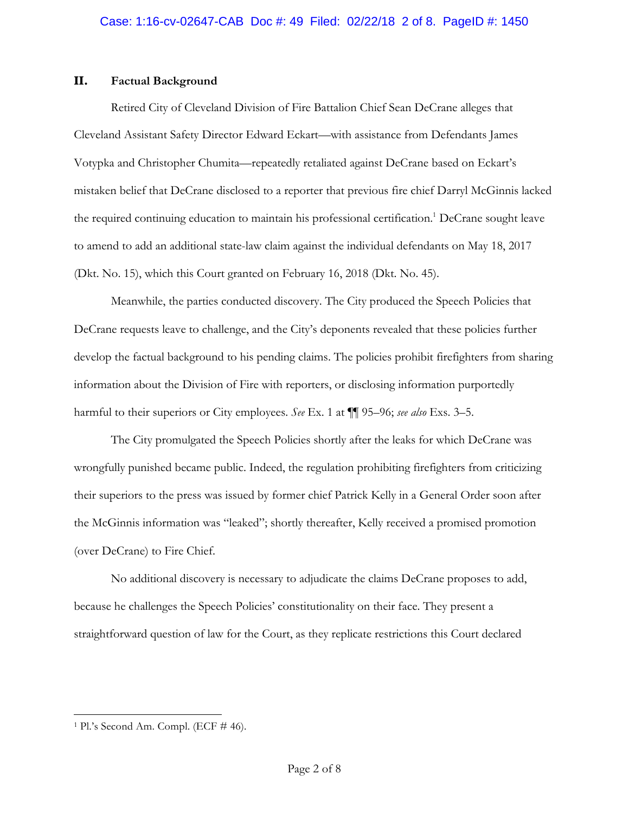### **II. Factual Background**

Retired City of Cleveland Division of Fire Battalion Chief Sean DeCrane alleges that Cleveland Assistant Safety Director Edward Eckart—with assistance from Defendants James Votypka and Christopher Chumita—repeatedly retaliated against DeCrane based on Eckart's mistaken belief that DeCrane disclosed to a reporter that previous fire chief Darryl McGinnis lacked the required continuing education to maintain his professional certification.<sup>1</sup> DeCrane sought leave to amend to add an additional state-law claim against the individual defendants on May 18, 2017 (Dkt. No. 15), which this Court granted on February 16, 2018 (Dkt. No. 45).

Meanwhile, the parties conducted discovery. The City produced the Speech Policies that DeCrane requests leave to challenge, and the City's deponents revealed that these policies further develop the factual background to his pending claims. The policies prohibit firefighters from sharing information about the Division of Fire with reporters, or disclosing information purportedly harmful to their superiors or City employees. *See* Ex. 1 at ¶¶ 95–96; *see also* Exs. 3–5.

The City promulgated the Speech Policies shortly after the leaks for which DeCrane was wrongfully punished became public. Indeed, the regulation prohibiting firefighters from criticizing their superiors to the press was issued by former chief Patrick Kelly in a General Order soon after the McGinnis information was "leaked"; shortly thereafter, Kelly received a promised promotion (over DeCrane) to Fire Chief.

No additional discovery is necessary to adjudicate the claims DeCrane proposes to add, because he challenges the Speech Policies' constitutionality on their face. They present a straightforward question of law for the Court, as they replicate restrictions this Court declared

<sup>1</sup> Pl.'s Second Am. Compl. (ECF # 46).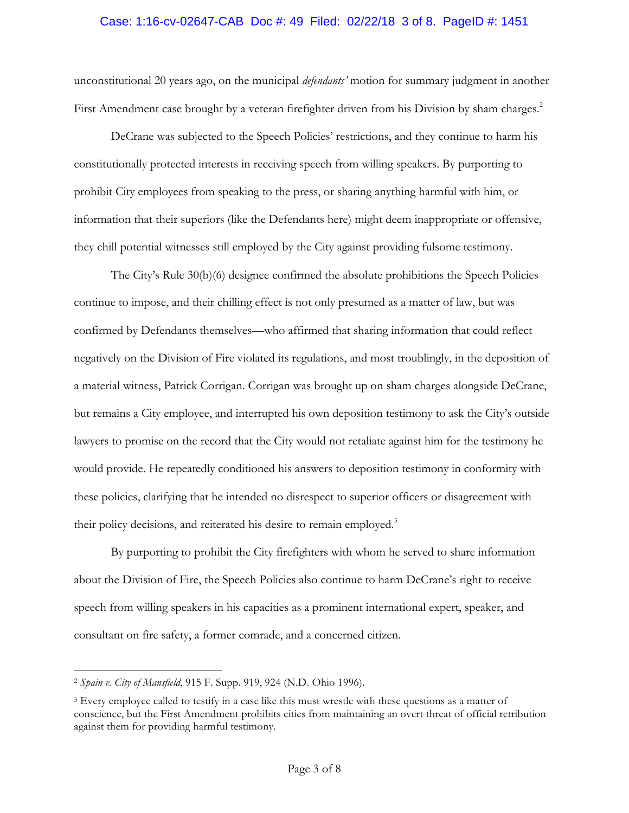#### Case: 1:16-cv-02647-CAB Doc #: 49 Filed: 02/22/18 3 of 8. PageID #: 1451

unconstitutional 20 years ago, on the municipal *defendants'* motion for summary judgment in another First Amendment case brought by a veteran firefighter driven from his Division by sham charges.<sup>2</sup>

DeCrane was subjected to the Speech Policies' restrictions, and they continue to harm his constitutionally protected interests in receiving speech from willing speakers. By purporting to prohibit City employees from speaking to the press, or sharing anything harmful with him, or information that their superiors (like the Defendants here) might deem inappropriate or offensive, they chill potential witnesses still employed by the City against providing fulsome testimony.

The City's Rule 30(b)(6) designee confirmed the absolute prohibitions the Speech Policies continue to impose, and their chilling effect is not only presumed as a matter of law, but was confirmed by Defendants themselves—who affirmed that sharing information that could reflect negatively on the Division of Fire violated its regulations, and most troublingly, in the deposition of a material witness, Patrick Corrigan. Corrigan was brought up on sham charges alongside DeCrane, but remains a City employee, and interrupted his own deposition testimony to ask the City's outside lawyers to promise on the record that the City would not retaliate against him for the testimony he would provide. He repeatedly conditioned his answers to deposition testimony in conformity with these policies, clarifying that he intended no disrespect to superior officers or disagreement with their policy decisions, and reiterated his desire to remain employed.<sup>3</sup>

By purporting to prohibit the City firefighters with whom he served to share information about the Division of Fire, the Speech Policies also continue to harm DeCrane's right to receive speech from willing speakers in his capacities as a prominent international expert, speaker, and consultant on fire safety, a former comrade, and a concerned citizen.

<sup>2</sup> *Spain v. City of Mansfield*, 915 F. Supp. 919, 924 (N.D. Ohio 1996).

<sup>3</sup> Every employee called to testify in a case like this must wrestle with these questions as a matter of conscience, but the First Amendment prohibits cities from maintaining an overt threat of official retribution against them for providing harmful testimony.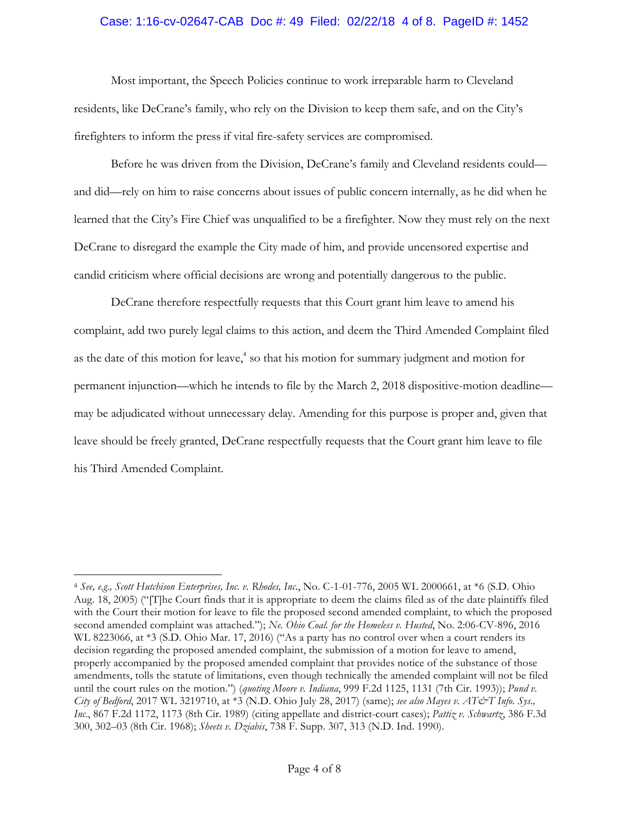#### Case: 1:16-cv-02647-CAB Doc #: 49 Filed: 02/22/18 4 of 8. PageID #: 1452

Most important, the Speech Policies continue to work irreparable harm to Cleveland residents, like DeCrane's family, who rely on the Division to keep them safe, and on the City's firefighters to inform the press if vital fire-safety services are compromised.

Before he was driven from the Division, DeCrane's family and Cleveland residents could and did—rely on him to raise concerns about issues of public concern internally, as he did when he learned that the City's Fire Chief was unqualified to be a firefighter. Now they must rely on the next DeCrane to disregard the example the City made of him, and provide uncensored expertise and candid criticism where official decisions are wrong and potentially dangerous to the public.

DeCrane therefore respectfully requests that this Court grant him leave to amend his complaint, add two purely legal claims to this action, and deem the Third Amended Complaint filed as the date of this motion for leave,<sup>4</sup> so that his motion for summary judgment and motion for permanent injunction—which he intends to file by the March 2, 2018 dispositive-motion deadline may be adjudicated without unnecessary delay. Amending for this purpose is proper and, given that leave should be freely granted, DeCrane respectfully requests that the Court grant him leave to file his Third Amended Complaint.

<sup>4</sup> *See, e.g., Scott Hutchison Enterprises, Inc. v. Rhodes, Inc*., No. C-1-01-776, 2005 WL 2000661, at \*6 (S.D. Ohio Aug. 18, 2005) ("[T]he Court finds that it is appropriate to deem the claims filed as of the date plaintiffs filed with the Court their motion for leave to file the proposed second amended complaint, to which the proposed second amended complaint was attached."); *Ne. Ohio Coal. for the Homeless v. Husted*, No. 2:06-CV-896, 2016 WL 8223066, at \*3 (S.D. Ohio Mar. 17, 2016) ("As a party has no control over when a court renders its decision regarding the proposed amended complaint, the submission of a motion for leave to amend, properly accompanied by the proposed amended complaint that provides notice of the substance of those amendments, tolls the statute of limitations, even though technically the amended complaint will not be filed until the court rules on the motion.") (*quoting Moore v. Indiana*, 999 F.2d 1125, 1131 (7th Cir. 1993)); *Pund v. City of Bedford*, 2017 WL 3219710, at \*3 (N.D. Ohio July 28, 2017) (same); *see also Mayes v. AT&T Info. Sys., Inc*., 867 F.2d 1172, 1173 (8th Cir. 1989) (citing appellate and district-court cases); *Pattiz v. Schwartz*, 386 F.3d 300, 302–03 (8th Cir. 1968); *Sheets v. Dziabis*, 738 F. Supp. 307, 313 (N.D. Ind. 1990).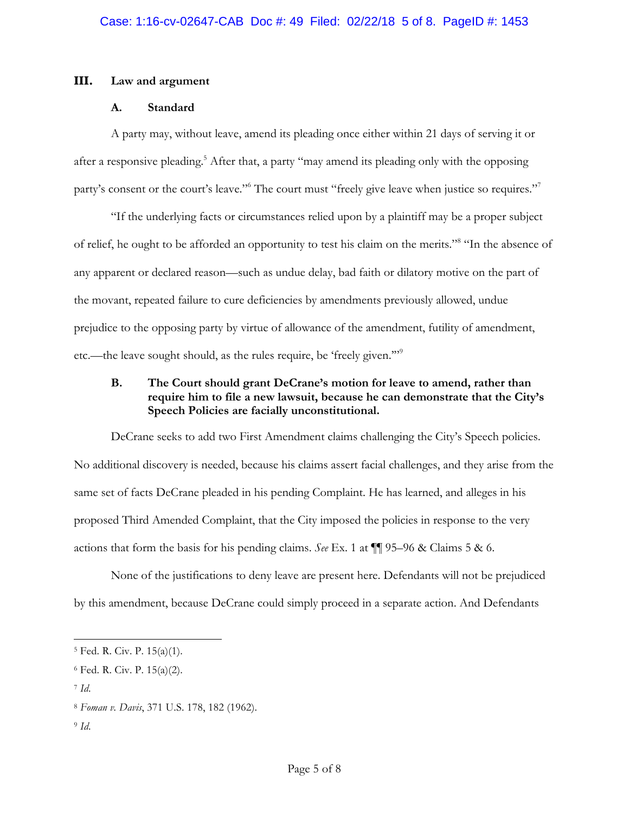### **III. Law and argument**

### **A. Standard**

A party may, without leave, amend its pleading once either within 21 days of serving it or after a responsive pleading.<sup>5</sup> After that, a party "may amend its pleading only with the opposing party's consent or the court's leave."<sup>6</sup> The court must "freely give leave when justice so requires."<sup>7</sup>

"If the underlying facts or circumstances relied upon by a plaintiff may be a proper subject of relief, he ought to be afforded an opportunity to test his claim on the merits."8 "In the absence of any apparent or declared reason—such as undue delay, bad faith or dilatory motive on the part of the movant, repeated failure to cure deficiencies by amendments previously allowed, undue prejudice to the opposing party by virtue of allowance of the amendment, futility of amendment, etc.—the leave sought should, as the rules require, be 'freely given.'"9

# **B. The Court should grant DeCrane's motion for leave to amend, rather than require him to file a new lawsuit, because he can demonstrate that the City's Speech Policies are facially unconstitutional.**

DeCrane seeks to add two First Amendment claims challenging the City's Speech policies. No additional discovery is needed, because his claims assert facial challenges, and they arise from the same set of facts DeCrane pleaded in his pending Complaint. He has learned, and alleges in his proposed Third Amended Complaint, that the City imposed the policies in response to the very actions that form the basis for his pending claims. *See* Ex. 1 at ¶¶ 95–96 & Claims 5 & 6.

None of the justifications to deny leave are present here. Defendants will not be prejudiced by this amendment, because DeCrane could simply proceed in a separate action. And Defendants

 $\overline{a}$ 

<sup>9</sup> *Id*.

<sup>5</sup> Fed. R. Civ. P. 15(a)(1).

<sup>6</sup> Fed. R. Civ. P. 15(a)(2).

<sup>7</sup> *Id*.

<sup>8</sup> *Foman v. Davis*, 371 U.S. 178, 182 (1962).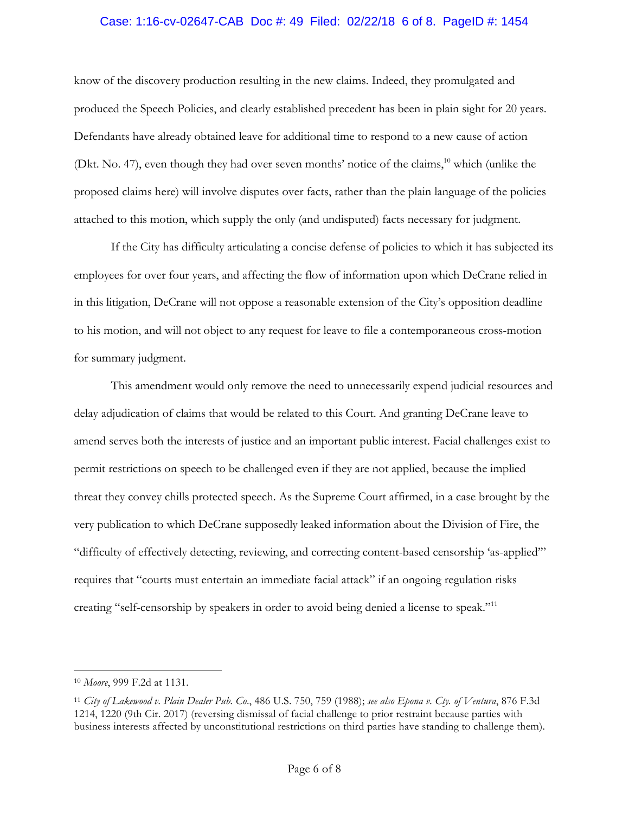### Case: 1:16-cv-02647-CAB Doc #: 49 Filed: 02/22/18 6 of 8. PageID #: 1454

know of the discovery production resulting in the new claims. Indeed, they promulgated and produced the Speech Policies, and clearly established precedent has been in plain sight for 20 years. Defendants have already obtained leave for additional time to respond to a new cause of action (Dkt. No. 47), even though they had over seven months' notice of the claims,<sup>10</sup> which (unlike the proposed claims here) will involve disputes over facts, rather than the plain language of the policies attached to this motion, which supply the only (and undisputed) facts necessary for judgment.

If the City has difficulty articulating a concise defense of policies to which it has subjected its employees for over four years, and affecting the flow of information upon which DeCrane relied in in this litigation, DeCrane will not oppose a reasonable extension of the City's opposition deadline to his motion, and will not object to any request for leave to file a contemporaneous cross-motion for summary judgment.

This amendment would only remove the need to unnecessarily expend judicial resources and delay adjudication of claims that would be related to this Court. And granting DeCrane leave to amend serves both the interests of justice and an important public interest. Facial challenges exist to permit restrictions on speech to be challenged even if they are not applied, because the implied threat they convey chills protected speech. As the Supreme Court affirmed, in a case brought by the very publication to which DeCrane supposedly leaked information about the Division of Fire, the "difficulty of effectively detecting, reviewing, and correcting content-based censorship 'as-applied'" requires that "courts must entertain an immediate facial attack" if an ongoing regulation risks creating "self-censorship by speakers in order to avoid being denied a license to speak."<sup>11</sup>

<sup>10</sup> *Moore*, 999 F.2d at 1131.

<sup>11</sup> *City of Lakewood v. Plain Dealer Pub. Co*., 486 U.S. 750, 759 (1988); *see also Epona v. Cty. of Ventura*, 876 F.3d 1214, 1220 (9th Cir. 2017) (reversing dismissal of facial challenge to prior restraint because parties with business interests affected by unconstitutional restrictions on third parties have standing to challenge them).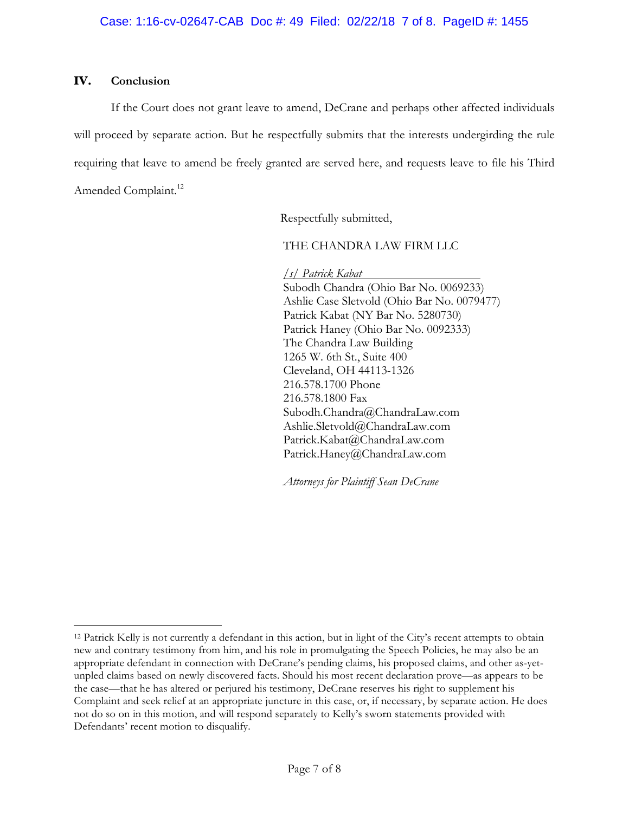### **IV. Conclusion**

 $\overline{a}$ 

If the Court does not grant leave to amend, DeCrane and perhaps other affected individuals will proceed by separate action. But he respectfully submits that the interests undergirding the rule requiring that leave to amend be freely granted are served here, and requests leave to file his Third Amended Complaint. 12

Respectfully submitted,

THE CHANDRA LAW FIRM LLC

*/s/ Patrick Kabat*

Subodh Chandra (Ohio Bar No. 0069233) Ashlie Case Sletvold (Ohio Bar No. 0079477) Patrick Kabat (NY Bar No. 5280730) Patrick Haney (Ohio Bar No. 0092333) The Chandra Law Building 1265 W. 6th St., Suite 400 Cleveland, OH 44113-1326 216.578.1700 Phone 216.578.1800 Fax Subodh.Chandra@ChandraLaw.com Ashlie.Sletvold@ChandraLaw.com Patrick.Kabat@ChandraLaw.com Patrick.Haney@ChandraLaw.com

*Attorneys for Plaintiff Sean DeCrane*

<sup>12</sup> Patrick Kelly is not currently a defendant in this action, but in light of the City's recent attempts to obtain new and contrary testimony from him, and his role in promulgating the Speech Policies, he may also be an appropriate defendant in connection with DeCrane's pending claims, his proposed claims, and other as-yetunpled claims based on newly discovered facts. Should his most recent declaration prove—as appears to be the case—that he has altered or perjured his testimony, DeCrane reserves his right to supplement his Complaint and seek relief at an appropriate juncture in this case, or, if necessary, by separate action. He does not do so on in this motion, and will respond separately to Kelly's sworn statements provided with Defendants' recent motion to disqualify.